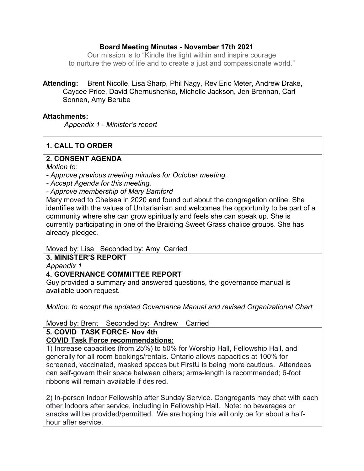#### Board Meeting Minutes - November 17th 2021

Our mission is to "Kindle the light within and inspire courage to nurture the web of life and to create a just and compassionate world."

Attending: Brent Nicolle, Lisa Sharp, Phil Nagy, Rev Eric Meter, Andrew Drake, Caycee Price, David Chernushenko, Michelle Jackson, Jen Brennan, Carl Sonnen, Amy Berube

#### Attachments:

Appendix 1 - Minister's report

## 1. CALL TO ORDER

### 2. CONSENT AGENDA

Motion to:

- Approve previous meeting minutes for October meeting.

- Accept Agenda for this meeting.

- Approve membership of Mary Bamford

Mary moved to Chelsea in 2020 and found out about the congregation online. She identifies with the values of Unitarianism and welcomes the opportunity to be part of a community where she can grow spiritually and feels she can speak up. She is currently participating in one of the Braiding Sweet Grass chalice groups. She has already pledged.

Moved by: Lisa Seconded by: Amy Carried

# 3. MINISTER'S REPORT

Appendix 1

### 4. GOVERNANCE COMMITTEE REPORT

Guy provided a summary and answered questions, the governance manual is available upon request.

Motion: to accept the updated Governance Manual and revised Organizational Chart

Moved by: Brent Seconded by: Andrew Carried

5. COVID TASK FORCE- Nov 4th

#### COVID Task Force recommendations:

1) Increase capacities (from 25%) to 50% for Worship Hall, Fellowship Hall, and generally for all room bookings/rentals. Ontario allows capacities at 100% for screened, vaccinated, masked spaces but FirstU is being more cautious. Attendees can self-govern their space between others; arms-length is recommended; 6-foot ribbons will remain available if desired.

2) In-person Indoor Fellowship after Sunday Service. Congregants may chat with each other Indoors after service, including in Fellowship Hall. Note: no beverages or snacks will be provided/permitted. We are hoping this will only be for about a halfhour after service.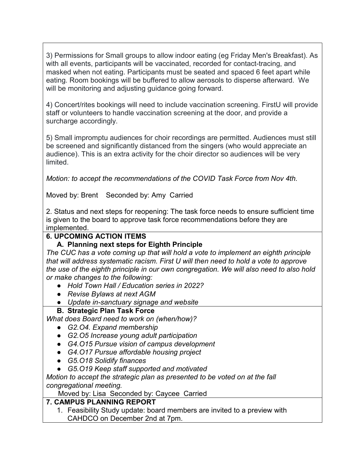3) Permissions for Small groups to allow indoor eating (eg Friday Men's Breakfast). As with all events, participants will be vaccinated, recorded for contact-tracing, and masked when not eating. Participants must be seated and spaced 6 feet apart while eating. Room bookings will be buffered to allow aerosols to disperse afterward. We will be monitoring and adjusting guidance going forward.

4) Concert/rites bookings will need to include vaccination screening. FirstU will provide staff or volunteers to handle vaccination screening at the door, and provide a surcharge accordingly.

5) Small impromptu audiences for choir recordings are permitted. Audiences must still be screened and significantly distanced from the singers (who would appreciate an audience). This is an extra activity for the choir director so audiences will be very limited.

Motion: to accept the recommendations of the COVID Task Force from Nov 4th.

Moved by: Brent Seconded by: Amy Carried

2. Status and next steps for reopening: The task force needs to ensure sufficient time is given to the board to approve task force recommendations before they are implemented.

## 6. UPCOMING ACTION ITEMS

### A. Planning next steps for Eighth Principle

The CUC has a vote coming up that will hold a vote to implement an eighth principle that will address systematic racism. First U will then need to hold a vote to approve the use of the eighth principle in our own congregation. We will also need to also hold or make changes to the following:

- Hold Town Hall / Education series in 2022?
- Revise Bylaws at next AGM
- Update in-sanctuary signage and website

### B. Strategic Plan Task Force

What does Board need to work on (when/how)?

- G2.04. Expand membership
- G2.05 Increase young adult participation
- G4.015 Pursue vision of campus development
- G4.017 Pursue affordable housing project
- G5.018 Solidify finances
- G5.O19 Keep staff supported and motivated

Motion to accept the strategic plan as presented to be voted on at the fall congregational meeting.

Moved by: Lisa Seconded by: Caycee Carried

# 7. CAMPUS PLANNING REPORT

1. Feasibility Study update: board members are invited to a preview with CAHDCO on December 2nd at 7pm.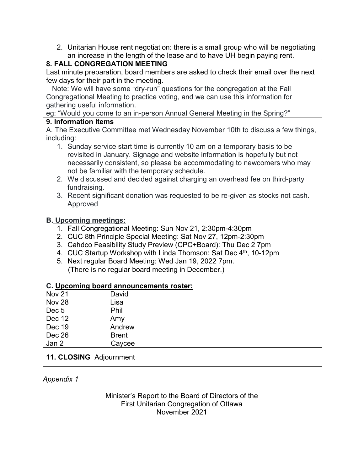2. Unitarian House rent negotiation: there is a small group who will be negotiating an increase in the length of the lease and to have UH begin paying rent.

### 8. FALL CONGREGATION MEETING

Last minute preparation, board members are asked to check their email over the next few days for their part in the meeting.

 Note: We will have some "dry-run" questions for the congregation at the Fall Congregational Meeting to practice voting, and we can use this information for gathering useful information.

eg: "Would you come to an in-person Annual General Meeting in the Spring?"

### 9. Information Items

A. The Executive Committee met Wednesday November 10th to discuss a few things, including:

- 1. Sunday service start time is currently 10 am on a temporary basis to be revisited in January. Signage and website information is hopefully but not necessarily consistent, so please be accommodating to newcomers who may not be familiar with the temporary schedule.
- 2. We discussed and decided against charging an overhead fee on third-party fundraising.
- 3. Recent significant donation was requested to be re-given as stocks not cash. Approved

### B. Upcoming meetings:

- 1. Fall Congregational Meeting: Sun Nov 21, 2:30pm-4:30pm
- 2. CUC 8th Principle Special Meeting: Sat Nov 27, 12pm-2:30pm
- 3. Cahdco Feasibility Study Preview (CPC+Board): Thu Dec 2 7pm
- 4. CUC Startup Workshop with Linda Thomson: Sat Dec 4<sup>th</sup>, 10-12pm
- 5. Next regular Board Meeting: Wed Jan 19, 2022 7pm. (There is no regular board meeting in December.)

### C. Upcoming board announcements roster:

| Nov 21 | David        |
|--------|--------------|
| Nov 28 | Lisa         |
| Dec 5  | Phil         |
| Dec 12 | Amy          |
| Dec 19 | Andrew       |
| Dec 26 | <b>Brent</b> |
| Jan 2  | Caycee       |

# 11. CLOSING Adjournment

### Appendix 1

Minister's Report to the Board of Directors of the First Unitarian Congregation of Ottawa November 2021